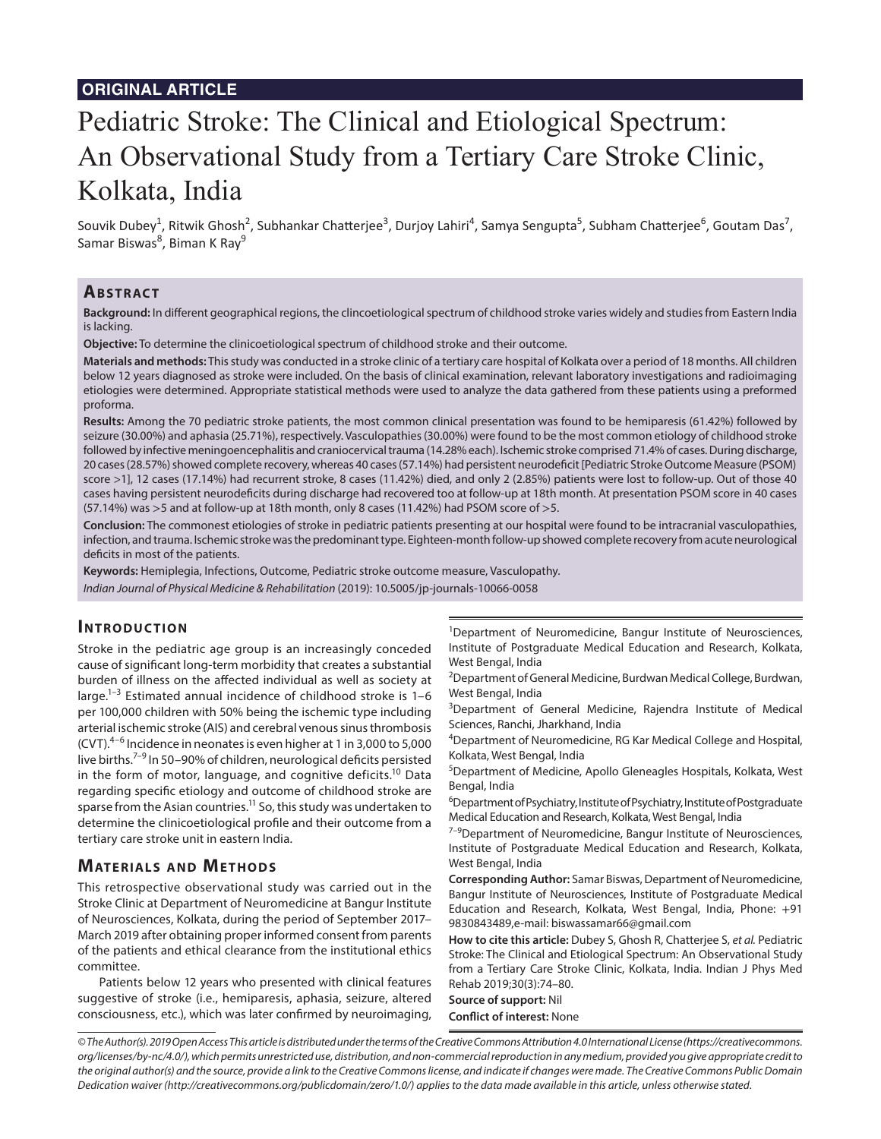# Pediatric Stroke: The Clinical and Etiological Spectrum: An Observational Study from a Tertiary Care Stroke Clinic, Kolkata, India

Souvik Dubey<sup>1</sup>, Ritwik Ghosh<sup>2</sup>, Subhankar Chatterjee<sup>3</sup>, Durjoy Lahiri<sup>4</sup>, Samya Sengupta<sup>5</sup>, Subham Chatterjee<sup>6</sup>, Goutam Das<sup>7</sup>, Samar Biswas<sup>8</sup>, Biman K Ray<sup>9</sup>

## **ABSTRACT**

**Background:** In different geographical regions, the clincoetiological spectrum of childhood stroke varies widely and studies from Eastern India is lacking.

**Objective:** To determine the clinicoetiological spectrum of childhood stroke and their outcome.

**Materials and methods:** This study was conducted in a stroke clinic of a tertiary care hospital of Kolkata over a period of 18 months. All children below 12 years diagnosed as stroke were included. On the basis of clinical examination, relevant laboratory investigations and radioimaging etiologies were determined. Appropriate statistical methods were used to analyze the data gathered from these patients using a preformed proforma.

**Results:** Among the 70 pediatric stroke patients, the most common clinical presentation was found to be hemiparesis (61.42%) followed by seizure (30.00%) and aphasia (25.71%), respectively. Vasculopathies (30.00%) were found to be the most common etiology of childhood stroke followed by infective meningoencephalitis and craniocervical trauma (14.28% each). Ischemic stroke comprised 71.4% of cases. During discharge, 20 cases (28.57%) showed complete recovery, whereas 40 cases (57.14%) had persistent neurodeficit [Pediatric Stroke Outcome Measure (PSOM) score >1], 12 cases (17.14%) had recurrent stroke, 8 cases (11.42%) died, and only 2 (2.85%) patients were lost to follow-up. Out of those 40 cases having persistent neurodeficits during discharge had recovered too at follow-up at 18th month. At presentation PSOM score in 40 cases (57.14%) was >5 and at follow-up at 18th month, only 8 cases (11.42%) had PSOM score of >5.

**Conclusion:** The commonest etiologies of stroke in pediatric patients presenting at our hospital were found to be intracranial vasculopathies, infection, and trauma. Ischemic stroke was the predominant type. Eighteen-month follow-up showed complete recovery from acute neurological deficits in most of the patients.

**Keywords:** Hemiplegia, Infections, Outcome, Pediatric stroke outcome measure, Vasculopathy.

*Indian Journal of Physical Medicine & Rehabilitation* (2019): 10.5005/jp-journals-10066-0058

## **INTRODUCTION**

Stroke in the pediatric age group is an increasingly conceded cause of significant long-term morbidity that creates a substantial burden of illness on the affected individual as well as society at large.<sup>1-3</sup> Estimated annual incidence of childhood stroke is  $1-6$ per 100,000 children with 50% being the ischemic type including arterial ischemic stroke (AIS) and cerebral venous sinus thrombosis (CVT).4–6 Incidence in neonates is even higher at 1 in 3,000 to 5,000 live births.7–9 In 50–90% of children, neurological deficits persisted in the form of motor, language, and cognitive deficits.<sup>10</sup> Data regarding specific etiology and outcome of childhood stroke are sparse from the Asian countries.<sup>11</sup> So, this study was undertaken to determine the clinicoetiological profile and their outcome from a tertiary care stroke unit in eastern India.

## **MATERIALS AND METHODS**

This retrospective observational study was carried out in the Stroke Clinic at Department of Neuromedicine at Bangur Institute of Neurosciences, Kolkata, during the period of September 2017– March 2019 after obtaining proper informed consent from parents of the patients and ethical clearance from the institutional ethics committee.

Patients below 12 years who presented with clinical features suggestive of stroke (i.e., hemiparesis, aphasia, seizure, altered consciousness, etc.), which was later confirmed by neuroimaging,

<sup>1</sup>Department of Neuromedicine, Bangur Institute of Neurosciences, Institute of Postgraduate Medical Education and Research, Kolkata, West Bengal, India

<sup>2</sup>Department of General Medicine, Burdwan Medical College, Burdwan, West Bengal, India

<sup>3</sup>Department of General Medicine, Rajendra Institute of Medical Sciences, Ranchi, Jharkhand, India

<sup>4</sup>Department of Neuromedicine, RG Kar Medical College and Hospital, Kolkata, West Bengal, India

5 Department of Medicine, Apollo Gleneagles Hospitals, Kolkata, West Bengal, India

6 Department of Psychiatry, Institute of Psychiatry, Institute of Postgraduate Medical Education and Research, Kolkata, West Bengal, India

 $7-9$ Department of Neuromedicine, Bangur Institute of Neurosciences, Institute of Postgraduate Medical Education and Research, Kolkata, West Bengal, India

**Corresponding Author:** Samar Biswas, Department of Neuromedicine, Bangur Institute of Neurosciences, Institute of Postgraduate Medical Education and Research, Kolkata, West Bengal, India, Phone: +91 9830843489,e-mail: biswassamar66@gmail.com

**How to cite this article:** Dubey S, Ghosh R, Chatterjee S, *et al.* Pediatric Stroke: The Clinical and Etiological Spectrum: An Observational Study from a Tertiary Care Stroke Clinic, Kolkata, India. Indian J Phys Med Rehab 2019;30(3):74–80.

#### **Source of support:** Nil **Conflict of interest:** None

*© The Author(s). 2019 Open Access This article is distributed under the terms of the Creative Commons Attribution 4.0 International License (https://creativecommons. org/licenses/by-nc/4.0/), which permits unrestricted use, distribution, and non-commercial reproduction in any medium, provided you give appropriate credit to the original author(s) and the source, provide a link to the Creative Commons license, and indicate if changes were made. The Creative Commons Public Domain Dedication waiver (http://creativecommons.org/publicdomain/zero/1.0/) applies to the data made available in this article, unless otherwise stated.*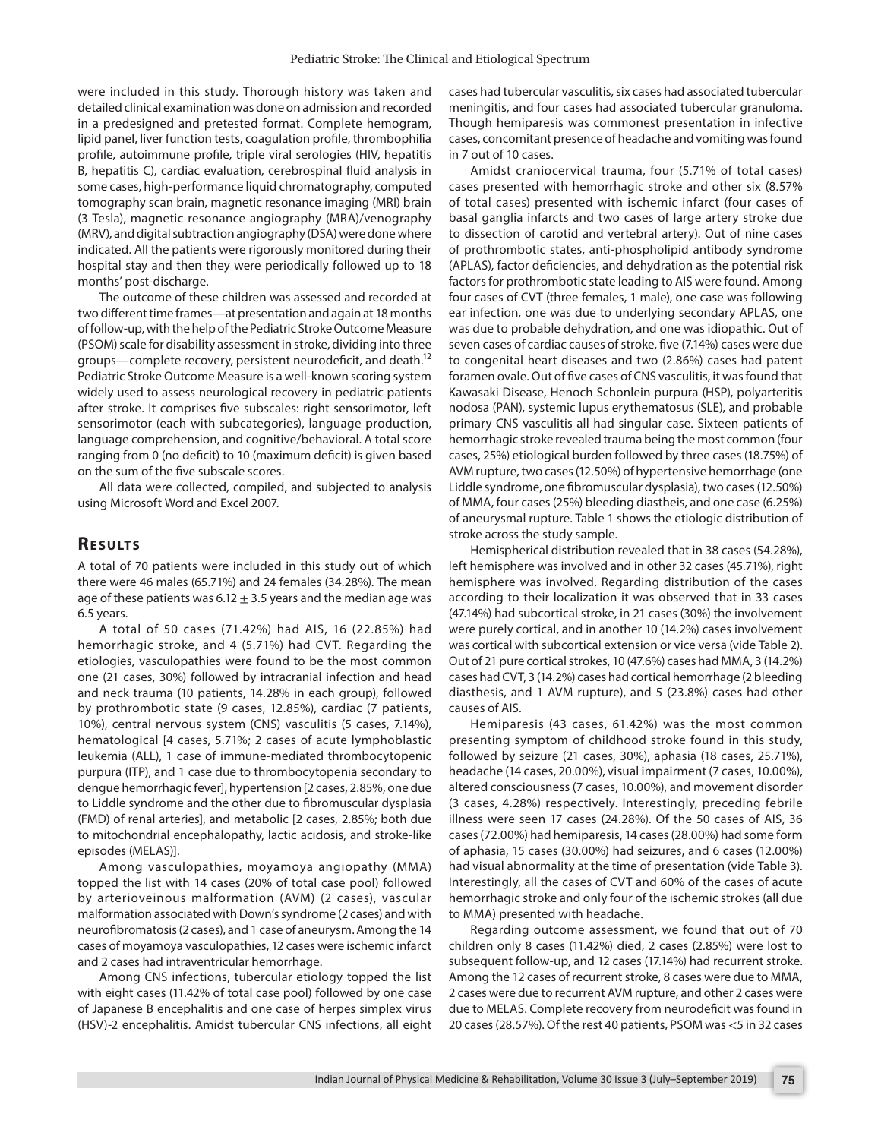were included in this study. Thorough history was taken and detailed clinical examination was done on admission and recorded in a predesigned and pretested format. Complete hemogram, lipid panel, liver function tests, coagulation profile, thrombophilia profile, autoimmune profile, triple viral serologies (HIV, hepatitis B, hepatitis C), cardiac evaluation, cerebrospinal fluid analysis in some cases, high-performance liquid chromatography, computed tomography scan brain, magnetic resonance imaging (MRI) brain (3 Tesla), magnetic resonance angiography (MRA)/venography (MRV), and digital subtraction angiography (DSA) were done where indicated. All the patients were rigorously monitored during their hospital stay and then they were periodically followed up to 18 months' post-discharge.

The outcome of these children was assessed and recorded at two different time frames—at presentation and again at 18 months of follow-up, with the help of the Pediatric Stroke Outcome Measure (PSOM) scale for disability assessment in stroke, dividing into three groups—complete recovery, persistent neurodeficit, and death.12 Pediatric Stroke Outcome Measure is a well-known scoring system widely used to assess neurological recovery in pediatric patients after stroke. It comprises five subscales: right sensorimotor, left sensorimotor (each with subcategories), language production, language comprehension, and cognitive/behavioral. A total score ranging from 0 (no deficit) to 10 (maximum deficit) is given based on the sum of the five subscale scores.

All data were collected, compiled, and subjected to analysis using Microsoft Word and Excel 2007.

## **RESULTS**

A total of 70 patients were included in this study out of which there were 46 males (65.71%) and 24 females (34.28%). The mean age of these patients was  $6.12 \pm 3.5$  years and the median age was 6.5 years.

A total of 50 cases (71.42%) had AIS, 16 (22.85%) had hemorrhagic stroke, and 4 (5.71%) had CVT. Regarding the etiologies, vasculopathies were found to be the most common one (21 cases, 30%) followed by intracranial infection and head and neck trauma (10 patients, 14.28% in each group), followed by prothrombotic state (9 cases, 12.85%), cardiac (7 patients, 10%), central nervous system (CNS) vasculitis (5 cases, 7.14%), hematological [4 cases, 5.71%; 2 cases of acute lymphoblastic leukemia (ALL), 1 case of immune-mediated thrombocytopenic purpura (ITP), and 1 case due to thrombocytopenia secondary to dengue hemorrhagic fever], hypertension [2 cases, 2.85%, one due to Liddle syndrome and the other due to fibromuscular dysplasia (FMD) of renal arteries], and metabolic [2 cases, 2.85%; both due to mitochondrial encephalopathy, lactic acidosis, and stroke-like episodes (MELAS)].

Among vasculopathies, moyamoya angiopathy (MMA) topped the list with 14 cases (20% of total case pool) followed by arterioveinous malformation (AVM) (2 cases), vascular malformation associated with Down's syndrome (2 cases) and with neurofibromatosis (2 cases), and 1 case of aneurysm. Among the 14 cases of moyamoya vasculopathies, 12 cases were ischemic infarct and 2 cases had intraventricular hemorrhage.

Among CNS infections, tubercular etiology topped the list with eight cases (11.42% of total case pool) followed by one case of Japanese B encephalitis and one case of herpes simplex virus (HSV)-2 encephalitis. Amidst tubercular CNS infections, all eight

cases had tubercular vasculitis, six cases had associated tubercular meningitis, and four cases had associated tubercular granuloma. Though hemiparesis was commonest presentation in infective cases, concomitant presence of headache and vomiting was found in 7 out of 10 cases.

Amidst craniocervical trauma, four (5.71% of total cases) cases presented with hemorrhagic stroke and other six (8.57% of total cases) presented with ischemic infarct (four cases of basal ganglia infarcts and two cases of large artery stroke due to dissection of carotid and vertebral artery). Out of nine cases of prothrombotic states, anti-phospholipid antibody syndrome (APLAS), factor deficiencies, and dehydration as the potential risk factors for prothrombotic state leading to AIS were found. Among four cases of CVT (three females, 1 male), one case was following ear infection, one was due to underlying secondary APLAS, one was due to probable dehydration, and one was idiopathic. Out of seven cases of cardiac causes of stroke, five (7.14%) cases were due to congenital heart diseases and two (2.86%) cases had patent foramen ovale. Out of five cases of CNS vasculitis, it was found that Kawasaki Disease, Henoch Schonlein purpura (HSP), polyarteritis nodosa (PAN), systemic lupus erythematosus (SLE), and probable primary CNS vasculitis all had singular case. Sixteen patients of hemorrhagic stroke revealed trauma being the most common (four cases, 25%) etiological burden followed by three cases (18.75%) of AVM rupture, two cases (12.50%) of hypertensive hemorrhage (one Liddle syndrome, one fibromuscular dysplasia), two cases (12.50%) of MMA, four cases (25%) bleeding diastheis, and one case (6.25%) of aneurysmal rupture. Table 1 shows the etiologic distribution of stroke across the study sample.

Hemispherical distribution revealed that in 38 cases (54.28%), left hemisphere was involved and in other 32 cases (45.71%), right hemisphere was involved. Regarding distribution of the cases according to their localization it was observed that in 33 cases (47.14%) had subcortical stroke, in 21 cases (30%) the involvement were purely cortical, and in another 10 (14.2%) cases involvement was cortical with subcortical extension or vice versa (vide Table 2). Out of 21 pure cortical strokes, 10 (47.6%) cases had MMA, 3 (14.2%) cases had CVT, 3 (14.2%) cases had cortical hemorrhage (2 bleeding diasthesis, and 1 AVM rupture), and 5 (23.8%) cases had other causes of AIS.

Hemiparesis (43 cases, 61.42%) was the most common presenting symptom of childhood stroke found in this study, followed by seizure (21 cases, 30%), aphasia (18 cases, 25.71%), headache (14 cases, 20.00%), visual impairment (7 cases, 10.00%), altered consciousness (7 cases, 10.00%), and movement disorder (3 cases, 4.28%) respectively. Interestingly, preceding febrile illness were seen 17 cases (24.28%). Of the 50 cases of AIS, 36 cases (72.00%) had hemiparesis, 14 cases (28.00%) had some form of aphasia, 15 cases (30.00%) had seizures, and 6 cases (12.00%) had visual abnormality at the time of presentation (vide Table 3). Interestingly, all the cases of CVT and 60% of the cases of acute hemorrhagic stroke and only four of the ischemic strokes (all due to MMA) presented with headache.

Regarding outcome assessment, we found that out of 70 children only 8 cases (11.42%) died, 2 cases (2.85%) were lost to subsequent follow-up, and 12 cases (17.14%) had recurrent stroke. Among the 12 cases of recurrent stroke, 8 cases were due to MMA, 2 cases were due to recurrent AVM rupture, and other 2 cases were due to MELAS. Complete recovery from neurodeficit was found in 20 cases (28.57%). Of the rest 40 patients, PSOM was <5 in 32 cases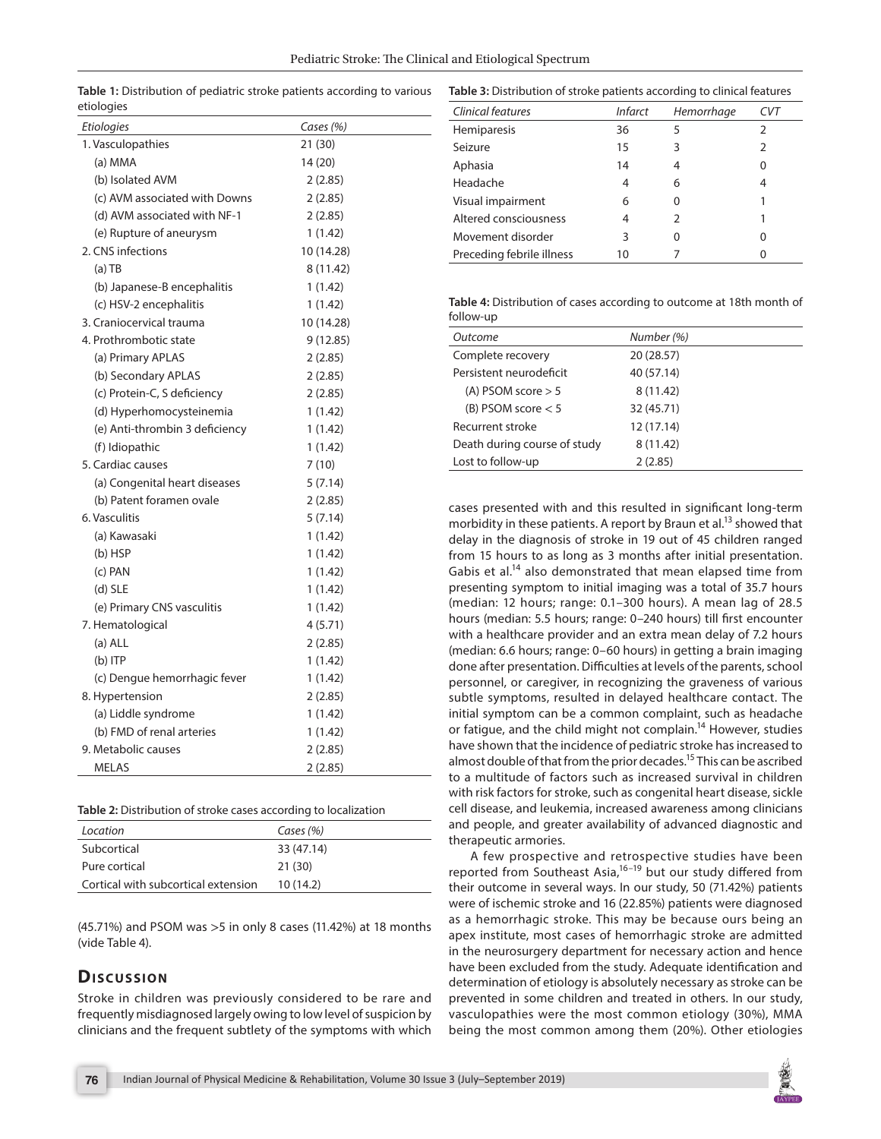| Etiologies                     | Cases (%)  |
|--------------------------------|------------|
| 1. Vasculopathies              | 21 (30)    |
| (a) MMA                        | 14 (20)    |
| (b) Isolated AVM               | 2(2.85)    |
| (c) AVM associated with Downs  | 2(2.85)    |
| (d) AVM associated with NF-1   | 2(2.85)    |
| (e) Rupture of aneurysm        | 1(1.42)    |
| 2. CNS infections              | 10 (14.28) |
| $(a)$ TB                       | 8 (11.42)  |
| (b) Japanese-B encephalitis    | 1 (1.42)   |
| (c) HSV-2 encephalitis         | 1(1.42)    |
| 3. Craniocervical trauma       | 10 (14.28) |
| 4. Prothrombotic state         | 9 (12.85)  |
| (a) Primary APLAS              | 2(2.85)    |
| (b) Secondary APLAS            | 2(2.85)    |
| (c) Protein-C, S deficiency    | 2(2.85)    |
| (d) Hyperhomocysteinemia       | 1(1.42)    |
| (e) Anti-thrombin 3 deficiency | 1(1.42)    |
| (f) Idiopathic                 | 1(1.42)    |
| 5. Cardiac causes              | 7(10)      |
| (a) Congenital heart diseases  | 5(7.14)    |
| (b) Patent foramen ovale       | 2(2.85)    |
| 6. Vasculitis                  | 5(7.14)    |
| (a) Kawasaki                   | 1(1.42)    |
| $(b)$ HSP                      | 1(1.42)    |
| (c) PAN                        | 1(1.42)    |
| $(d)$ SLE                      | 1 (1.42)   |
| (e) Primary CNS vasculitis     | 1(1.42)    |
| 7. Hematological               | 4(5.71)    |
| $(a)$ ALL                      | 2(2.85)    |
| $(b)$ ITP                      | 1(1.42)    |
| (c) Dengue hemorrhagic fever   | 1 (1.42)   |
| 8. Hypertension                | 2 (2.85)   |
| (a) Liddle syndrome            | 1(1.42)    |
| (b) FMD of renal arteries      | 1(1.42)    |
| 9. Metabolic causes            | 2(2.85)    |
| <b>MELAS</b>                   | 2(2.85)    |

**Table 1:** Distribution of pediatric stroke patients according to various etiologies

**Table 3:** Distribution of stroke patients according to clinical features

| Clinical features         | <i>Infarct</i> | Hemorrhage |               |
|---------------------------|----------------|------------|---------------|
| Hemiparesis               | 36             | 5          | $\mathcal{P}$ |
| Seizure                   | 15             | 3          | 2             |
| Aphasia                   | 14             |            | 0             |
| Headache                  |                | 6          | 4             |
| Visual impairment         | 6              | O          |               |
| Altered consciousness     |                | フ          |               |
| Movement disorder         | ς              | 0          | 0             |
| Preceding febrile illness | 10             |            | O             |

**Table 4:** Distribution of cases according to outcome at 18th month of follow-up

| Outcome                      | Number (%) |  |
|------------------------------|------------|--|
| Complete recovery            | 20 (28.57) |  |
| Persistent neurodeficit      | 40 (57.14) |  |
| $(A)$ PSOM score $> 5$       | 8(11.42)   |  |
| (B) PSOM score $< 5$         | 32 (45.71) |  |
| Recurrent stroke             | 12 (17.14) |  |
| Death during course of study | 8(11.42)   |  |
| Lost to follow-up            | 2(2.85)    |  |
|                              |            |  |

cases presented with and this resulted in significant long-term morbidity in these patients. A report by Braun et al.<sup>13</sup> showed that delay in the diagnosis of stroke in 19 out of 45 children ranged from 15 hours to as long as 3 months after initial presentation. Gabis et al.<sup>14</sup> also demonstrated that mean elapsed time from presenting symptom to initial imaging was a total of 35.7 hours (median: 12 hours; range: 0.1–300 hours). A mean lag of 28.5 hours (median: 5.5 hours; range: 0–240 hours) till first encounter with a healthcare provider and an extra mean delay of 7.2 hours (median: 6.6 hours; range: 0–60 hours) in getting a brain imaging done after presentation. Difficulties at levels of the parents, school personnel, or caregiver, in recognizing the graveness of various subtle symptoms, resulted in delayed healthcare contact. The initial symptom can be a common complaint, such as headache or fatigue, and the child might not complain.<sup>14</sup> However, studies have shown that the incidence of pediatric stroke has increased to almost double of that from the prior decades.<sup>15</sup> This can be ascribed to a multitude of factors such as increased survival in children with risk factors for stroke, such as congenital heart disease, sickle cell disease, and leukemia, increased awareness among clinicians and people, and greater availability of advanced diagnostic and therapeutic armories.

A few prospective and retrospective studies have been reported from Southeast Asia, $16-19$  but our study differed from their outcome in several ways. In our study, 50 (71.42%) patients were of ischemic stroke and 16 (22.85%) patients were diagnosed as a hemorrhagic stroke. This may be because ours being an apex institute, most cases of hemorrhagic stroke are admitted in the neurosurgery department for necessary action and hence have been excluded from the study. Adequate identification and determination of etiology is absolutely necessary as stroke can be prevented in some children and treated in others. In our study, vasculopathies were the most common etiology (30%), MMA being the most common among them (20%). Other etiologies

| (e) Anti-thrombin 3 deficiency | 1(1.42) |
|--------------------------------|---------|
| (f) Idiopathic                 | 1(1.42) |
| 5. Cardiac causes              | 7(10)   |
| (a) Congenital heart diseases  | 5(7.14) |
| (b) Patent foramen ovale       | 2(2.85) |
| 6. Vasculitis                  | 5(7.14) |
| (a) Kawasaki                   | 1(1.42) |
| $(b)$ HSP                      | 1(1.42) |
| (c) PAN                        | 1(1.42) |
| $(d)$ SLE                      | 1(1.42) |
| (e) Primary CNS vasculitis     | 1(1.42) |
| 7. Hematological               | 4(5.71) |
| $(a)$ ALL                      | 2(2.85) |
| $(b)$ ITP                      | 1(1.42) |
| (c) Dengue hemorrhagic fever   | 1(1.42) |
| 8. Hypertension                | 2(2.85) |
| (a) Liddle syndrome            | 1(1.42) |
| (b) FMD of renal arteries      | 1(1.42) |
| 9. Metabolic causes            | 2(2.85) |
| <b>MELAS</b>                   | 2(2.85) |
|                                |         |

**Table 2:** Distribution of stroke cases according to localization

| Location                            | Cases (%)  |
|-------------------------------------|------------|
| Subcortical                         | 33 (47.14) |
| Pure cortical                       | 21(30)     |
| Cortical with subcortical extension | 10(14.2)   |

(45.71%) and PSOM was >5 in only 8 cases (11.42%) at 18 months (vide Table 4).

# **Dis c u s sio n**

Stroke in children was previously considered to be rare and frequently misdiagnosed largely owing to low level of suspicion by clinicians and the frequent subtlety of the symptoms with which

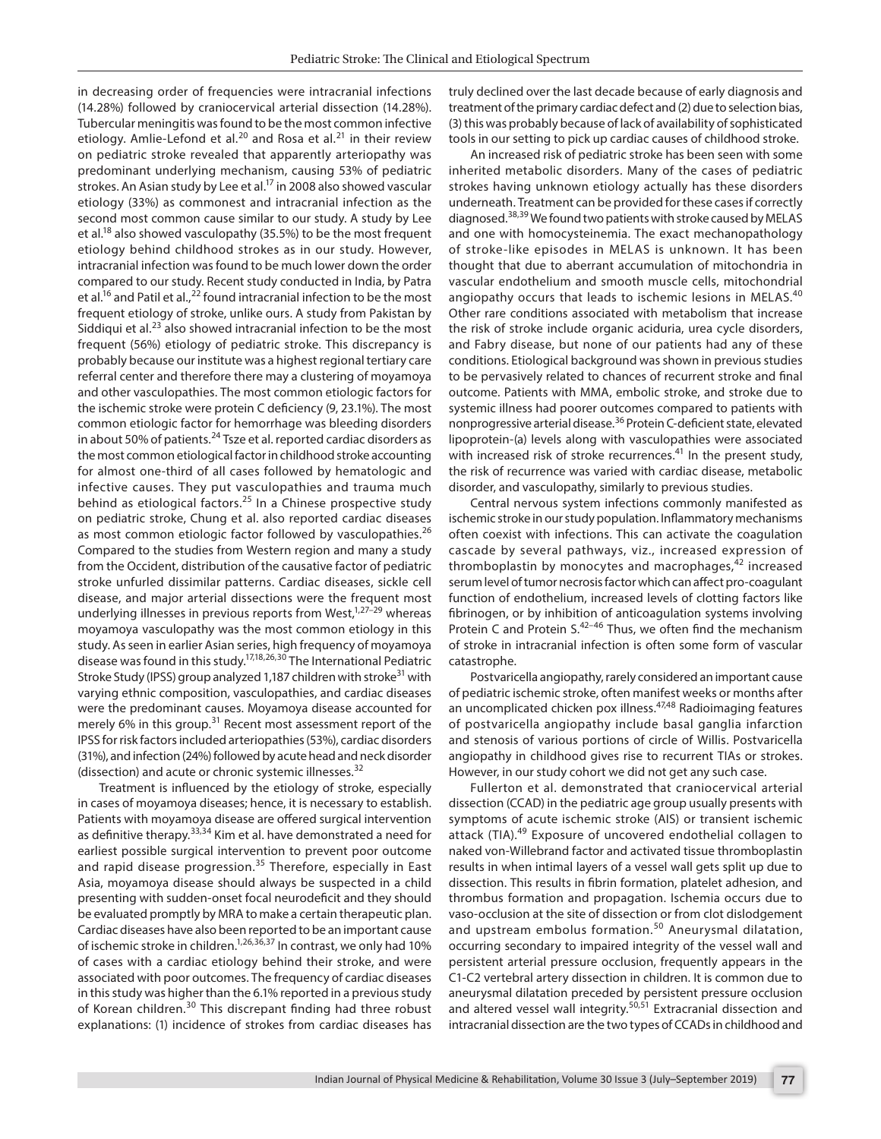in decreasing order of frequencies were intracranial infections (14.28%) followed by craniocervical arterial dissection (14.28%). Tubercular meningitis was found to be the most common infective etiology. Amlie-Lefond et al.<sup>20</sup> and Rosa et al.<sup>21</sup> in their review on pediatric stroke revealed that apparently arteriopathy was predominant underlying mechanism, causing 53% of pediatric strokes. An Asian study by Lee et al.<sup>17</sup> in 2008 also showed vascular etiology (33%) as commonest and intracranial infection as the second most common cause similar to our study. A study by Lee et al.<sup>18</sup> also showed vasculopathy (35.5%) to be the most frequent etiology behind childhood strokes as in our study. However, intracranial infection was found to be much lower down the order compared to our study. Recent study conducted in India, by Patra et al.<sup>16</sup> and Patil et al.,<sup>22</sup> found intracranial infection to be the most frequent etiology of stroke, unlike ours. A study from Pakistan by Siddiqui et al. $^{23}$  also showed intracranial infection to be the most frequent (56%) etiology of pediatric stroke. This discrepancy is probably because our institute was a highest regional tertiary care referral center and therefore there may a clustering of moyamoya and other vasculopathies. The most common etiologic factors for the ischemic stroke were protein C deficiency (9, 23.1%). The most common etiologic factor for hemorrhage was bleeding disorders in about 50% of patients.<sup>24</sup> Tsze et al. reported cardiac disorders as the most common etiological factor in childhood stroke accounting for almost one-third of all cases followed by hematologic and infective causes. They put vasculopathies and trauma much behind as etiological factors. $25$  In a Chinese prospective study on pediatric stroke, Chung et al. also reported cardiac diseases as most common etiologic factor followed by vasculopathies.<sup>26</sup> Compared to the studies from Western region and many a study from the Occident, distribution of the causative factor of pediatric stroke unfurled dissimilar patterns. Cardiac diseases, sickle cell disease, and major arterial dissections were the frequent most underlying illnesses in previous reports from West, $1,27-29$  whereas moyamoya vasculopathy was the most common etiology in this study. As seen in earlier Asian series, high frequency of moyamoya disease was found in this study.17,18,26,30 The International Pediatric Stroke Study (IPSS) group analyzed 1,187 children with stroke<sup>31</sup> with varying ethnic composition, vasculopathies, and cardiac diseases were the predominant causes. Moyamoya disease accounted for merely 6% in this group.<sup>31</sup> Recent most assessment report of the IPSS for risk factors included arteriopathies (53%), cardiac disorders (31%), and infection (24%) followed by acute head and neck disorder (dissection) and acute or chronic systemic illnesses.<sup>32</sup>

Treatment is influenced by the etiology of stroke, especially in cases of moyamoya diseases; hence, it is necessary to establish. Patients with moyamoya disease are offered surgical intervention as definitive therapy.<sup>33,34</sup> Kim et al. have demonstrated a need for earliest possible surgical intervention to prevent poor outcome and rapid disease progression.<sup>35</sup> Therefore, especially in East Asia, moyamoya disease should always be suspected in a child presenting with sudden-onset focal neurodeficit and they should be evaluated promptly by MRA to make a certain therapeutic plan. Cardiac diseases have also been reported to be an important cause of ischemic stroke in children.1,26,36,37 In contrast, we only had 10% of cases with a cardiac etiology behind their stroke, and were associated with poor outcomes. The frequency of cardiac diseases in this study was higher than the 6.1% reported in a previous study of Korean children.<sup>30</sup> This discrepant finding had three robust explanations: (1) incidence of strokes from cardiac diseases has

truly declined over the last decade because of early diagnosis and treatment of the primary cardiac defect and (2) due to selection bias, (3) this was probably because of lack of availability of sophisticated tools in our setting to pick up cardiac causes of childhood stroke.

An increased risk of pediatric stroke has been seen with some inherited metabolic disorders. Many of the cases of pediatric strokes having unknown etiology actually has these disorders underneath. Treatment can be provided for these cases if correctly diagnosed.38,39 We found two patients with stroke caused by MELAS and one with homocysteinemia. The exact mechanopathology of stroke-like episodes in MELAS is unknown. It has been thought that due to aberrant accumulation of mitochondria in vascular endothelium and smooth muscle cells, mitochondrial angiopathy occurs that leads to ischemic lesions in MELAS.<sup>40</sup> Other rare conditions associated with metabolism that increase the risk of stroke include organic aciduria, urea cycle disorders, and Fabry disease, but none of our patients had any of these conditions. Etiological background was shown in previous studies to be pervasively related to chances of recurrent stroke and final outcome. Patients with MMA, embolic stroke, and stroke due to systemic illness had poorer outcomes compared to patients with nonprogressive arterial disease.36 Protein C-deficient state, elevated lipoprotein-(a) levels along with vasculopathies were associated with increased risk of stroke recurrences.<sup>41</sup> In the present study, the risk of recurrence was varied with cardiac disease, metabolic disorder, and vasculopathy, similarly to previous studies.

Central nervous system infections commonly manifested as ischemic stroke in our study population. Inflammatory mechanisms often coexist with infections. This can activate the coagulation cascade by several pathways, viz., increased expression of thromboplastin by monocytes and macrophages, $42$  increased serum level of tumor necrosis factor which can affect pro-coagulant function of endothelium, increased levels of clotting factors like fibrinogen, or by inhibition of anticoagulation systems involving Protein C and Protein S.<sup>42–46</sup> Thus, we often find the mechanism of stroke in intracranial infection is often some form of vascular catastrophe.

Postvaricella angiopathy, rarely considered an important cause of pediatric ischemic stroke, often manifest weeks or months after an uncomplicated chicken pox illness.47,48 Radioimaging features of postvaricella angiopathy include basal ganglia infarction and stenosis of various portions of circle of Willis. Postvaricella angiopathy in childhood gives rise to recurrent TIAs or strokes. However, in our study cohort we did not get any such case.

Fullerton et al. demonstrated that craniocervical arterial dissection (CCAD) in the pediatric age group usually presents with symptoms of acute ischemic stroke (AIS) or transient ischemic attack (TIA).<sup>49</sup> Exposure of uncovered endothelial collagen to naked von-Willebrand factor and activated tissue thromboplastin results in when intimal layers of a vessel wall gets split up due to dissection. This results in fibrin formation, platelet adhesion, and thrombus formation and propagation. Ischemia occurs due to vaso-occlusion at the site of dissection or from clot dislodgement and upstream embolus formation.<sup>50</sup> Aneurysmal dilatation, occurring secondary to impaired integrity of the vessel wall and persistent arterial pressure occlusion, frequently appears in the C1-C2 vertebral artery dissection in children. It is common due to aneurysmal dilatation preceded by persistent pressure occlusion and altered vessel wall integrity.<sup>50,51</sup> Extracranial dissection and intracranial dissection are the two types of CCADs in childhood and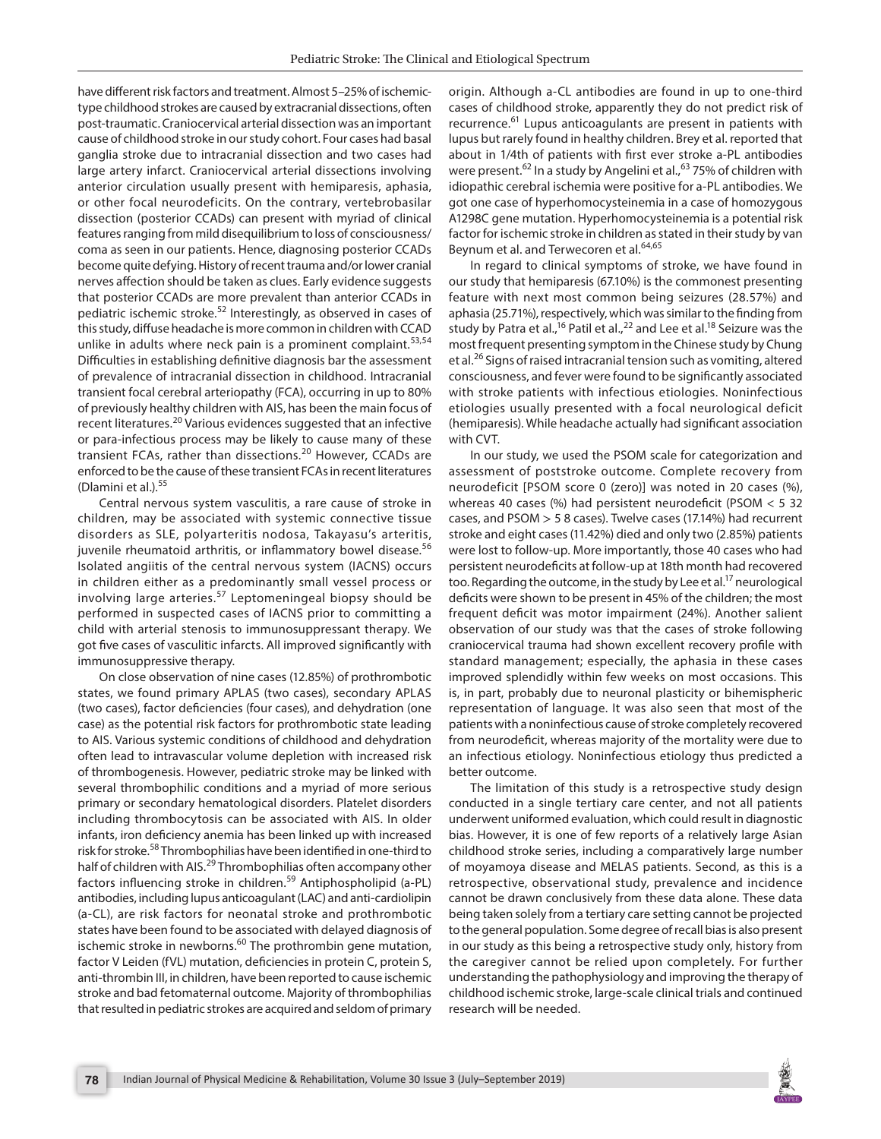have different risk factors and treatment. Almost 5–25% of ischemictype childhood strokes are caused by extracranial dissections, often post-traumatic. Craniocervical arterial dissection was an important cause of childhood stroke in our study cohort. Four cases had basal ganglia stroke due to intracranial dissection and two cases had large artery infarct. Craniocervical arterial dissections involving anterior circulation usually present with hemiparesis, aphasia, or other focal neurodeficits. On the contrary, vertebrobasilar dissection (posterior CCADs) can present with myriad of clinical features ranging from mild disequilibrium to loss of consciousness/ coma as seen in our patients. Hence, diagnosing posterior CCADs become quite defying. History of recent trauma and/or lower cranial nerves affection should be taken as clues. Early evidence suggests that posterior CCADs are more prevalent than anterior CCADs in pediatric ischemic stroke.<sup>52</sup> Interestingly, as observed in cases of this study, diffuse headache is more common in children with CCAD unlike in adults where neck pain is a prominent complaint.<sup>53,54</sup> Difficulties in establishing definitive diagnosis bar the assessment of prevalence of intracranial dissection in childhood. Intracranial transient focal cerebral arteriopathy (FCA), occurring in up to 80% of previously healthy children with AIS, has been the main focus of recent literatures.20 Various evidences suggested that an infective or para-infectious process may be likely to cause many of these transient FCAs, rather than dissections.<sup>20</sup> However, CCADs are enforced to be the cause of these transient FCAs in recent literatures (Dlamini et al.). $55$ 

Central nervous system vasculitis, a rare cause of stroke in children, may be associated with systemic connective tissue disorders as SLE, polyarteritis nodosa, Takayasu's arteritis, juvenile rheumatoid arthritis, or inflammatory bowel disease.<sup>56</sup> Isolated angiitis of the central nervous system (IACNS) occurs in children either as a predominantly small vessel process or involving large arteries. $57$  Leptomeningeal biopsy should be performed in suspected cases of IACNS prior to committing a child with arterial stenosis to immunosuppressant therapy. We got five cases of vasculitic infarcts. All improved significantly with immunosuppressive therapy.

On close observation of nine cases (12.85%) of prothrombotic states, we found primary APLAS (two cases), secondary APLAS (two cases), factor deficiencies (four cases), and dehydration (one case) as the potential risk factors for prothrombotic state leading to AIS. Various systemic conditions of childhood and dehydration often lead to intravascular volume depletion with increased risk of thrombogenesis. However, pediatric stroke may be linked with several thrombophilic conditions and a myriad of more serious primary or secondary hematological disorders. Platelet disorders including thrombocytosis can be associated with AIS. In older infants, iron deficiency anemia has been linked up with increased risk for stroke.<sup>58</sup> Thrombophilias have been identified in one-third to half of children with AIS.<sup>29</sup> Thrombophilias often accompany other factors influencing stroke in children.<sup>59</sup> Antiphospholipid (a-PL) antibodies, including lupus anticoagulant (LAC) and anti-cardiolipin (a-CL), are risk factors for neonatal stroke and prothrombotic states have been found to be associated with delayed diagnosis of ischemic stroke in newborns.<sup>60</sup> The prothrombin gene mutation, factor V Leiden (fVL) mutation, deficiencies in protein C, protein S, anti-thrombin III, in children, have been reported to cause ischemic stroke and bad fetomaternal outcome. Majority of thrombophilias that resulted in pediatric strokes are acquired and seldom of primary

origin. Although a-CL antibodies are found in up to one-third cases of childhood stroke, apparently they do not predict risk of recurrence.<sup>61</sup> Lupus anticoagulants are present in patients with lupus but rarely found in healthy children. Brey et al. reported that about in 1/4th of patients with first ever stroke a-PL antibodies were present.<sup>62</sup> In a study by Angelini et al.,  $63$  75% of children with idiopathic cerebral ischemia were positive for a-PL antibodies. We got one case of hyperhomocysteinemia in a case of homozygous A1298C gene mutation. Hyperhomocysteinemia is a potential risk factor for ischemic stroke in children as stated in their study by van Beynum et al. and Terwecoren et al.<sup>64,65</sup>

In regard to clinical symptoms of stroke, we have found in our study that hemiparesis (67.10%) is the commonest presenting feature with next most common being seizures (28.57%) and aphasia (25.71%), respectively, which was similar to the finding from study by Patra et al.,<sup>16</sup> Patil et al.,<sup>22</sup> and Lee et al.<sup>18</sup> Seizure was the most frequent presenting symptom in the Chinese study by Chung et al.<sup>26</sup> Signs of raised intracranial tension such as vomiting, altered consciousness, and fever were found to be significantly associated with stroke patients with infectious etiologies. Noninfectious etiologies usually presented with a focal neurological deficit (hemiparesis). While headache actually had significant association with CVT.

In our study, we used the PSOM scale for categorization and assessment of poststroke outcome. Complete recovery from neurodeficit [PSOM score 0 (zero)] was noted in 20 cases (%), whereas 40 cases (%) had persistent neurodeficit (PSOM < 5 32 cases, and PSOM > 5 8 cases). Twelve cases (17.14%) had recurrent stroke and eight cases (11.42%) died and only two (2.85%) patients were lost to follow-up. More importantly, those 40 cases who had persistent neurodeficits at follow-up at 18th month had recovered too. Regarding the outcome, in the study by Lee et al.<sup>17</sup> neurological deficits were shown to be present in 45% of the children; the most frequent deficit was motor impairment (24%). Another salient observation of our study was that the cases of stroke following craniocervical trauma had shown excellent recovery profile with standard management; especially, the aphasia in these cases improved splendidly within few weeks on most occasions. This is, in part, probably due to neuronal plasticity or bihemispheric representation of language. It was also seen that most of the patients with a noninfectious cause of stroke completely recovered from neurodeficit, whereas majority of the mortality were due to an infectious etiology. Noninfectious etiology thus predicted a better outcome.

The limitation of this study is a retrospective study design conducted in a single tertiary care center, and not all patients underwent uniformed evaluation, which could result in diagnostic bias. However, it is one of few reports of a relatively large Asian childhood stroke series, including a comparatively large number of moyamoya disease and MELAS patients. Second, as this is a retrospective, observational study, prevalence and incidence cannot be drawn conclusively from these data alone. These data being taken solely from a tertiary care setting cannot be projected to the general population. Some degree of recall bias is also present in our study as this being a retrospective study only, history from the caregiver cannot be relied upon completely. For further understanding the pathophysiology and improving the therapy of childhood ischemic stroke, large-scale clinical trials and continued research will be needed.

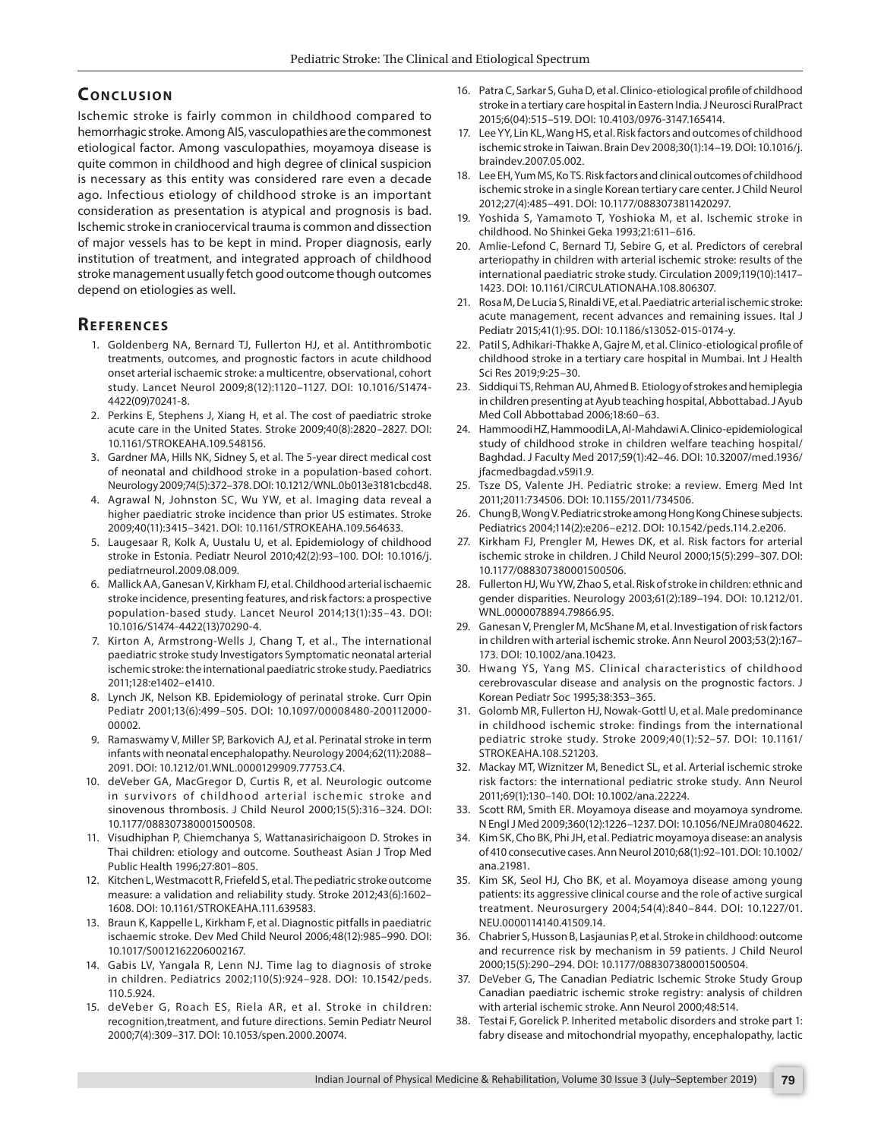## **CONCLUSION**

Ischemic stroke is fairly common in childhood compared to hemorrhagic stroke. Among AIS, vasculopathies are the commonest etiological factor. Among vasculopathies, moyamoya disease is quite common in childhood and high degree of clinical suspicion is necessary as this entity was considered rare even a decade ago. Infectious etiology of childhood stroke is an important consideration as presentation is atypical and prognosis is bad. Ischemic stroke in craniocervical trauma is common and dissection of major vessels has to be kept in mind. Proper diagnosis, early institution of treatment, and integrated approach of childhood stroke management usually fetch good outcome though outcomes depend on etiologies as well.

## **REFERENCES**

- 1. Goldenberg NA, Bernard TJ, Fullerton HJ, et al. Antithrombotic treatments, outcomes, and prognostic factors in acute childhood onset arterial ischaemic stroke: a multicentre, observational, cohort study. Lancet Neurol 2009;8(12):1120–1127. DOI: 10.1016/S1474- 4422(09)70241-8.
- 2. Perkins E, Stephens J, Xiang H, et al. The cost of paediatric stroke acute care in the United States. Stroke 2009;40(8):2820–2827. DOI: 10.1161/STROKEAHA.109.548156.
- 3. Gardner MA, Hills NK, Sidney S, et al. The 5-year direct medical cost of neonatal and childhood stroke in a population-based cohort. Neurology 2009;74(5):372–378. DOI: 10.1212/WNL.0b013e3181cbcd48.
- 4. Agrawal N, Johnston SC, Wu YW, et al. Imaging data reveal a higher paediatric stroke incidence than prior US estimates. Stroke 2009;40(11):3415–3421. DOI: 10.1161/STROKEAHA.109.564633.
- 5. Laugesaar R, Kolk A, Uustalu U, et al. Epidemiology of childhood stroke in Estonia. Pediatr Neurol 2010;42(2):93–100. DOI: 10.1016/j. pediatrneurol.2009.08.009.
- 6. Mallick AA, Ganesan V, Kirkham FJ, et al. Childhood arterial ischaemic stroke incidence, presenting features, and risk factors: a prospective population-based study. Lancet Neurol 2014;13(1):35–43. DOI: 10.1016/S1474-4422(13)70290-4.
- 7. Kirton A, Armstrong-Wells J, Chang T, et al., The international paediatric stroke study Investigators Symptomatic neonatal arterial ischemic stroke: the international paediatric stroke study. Paediatrics 2011;128:e1402–e1410.
- 8. Lynch JK, Nelson KB. Epidemiology of perinatal stroke. Curr Opin Pediatr 2001;13(6):499–505. DOI: 10.1097/00008480-200112000- 00002.
- 9. Ramaswamy V, Miller SP, Barkovich AJ, et al. Perinatal stroke in term infants with neonatal encephalopathy. Neurology 2004;62(11):2088– 2091. DOI: 10.1212/01.WNL.0000129909.77753.C4.
- 10. deVeber GA, MacGregor D, Curtis R, et al. Neurologic outcome in survivors of childhood arterial ischemic stroke and sinovenous thrombosis. J Child Neurol 2000;15(5):316–324. DOI: 10.1177/088307380001500508.
- 11. Visudhiphan P, Chiemchanya S, Wattanasirichaigoon D. Strokes in Thai children: etiology and outcome. Southeast Asian J Trop Med Public Health 1996;27:801–805.
- 12. Kitchen L, Westmacott R, Friefeld S, et al. The pediatric stroke outcome measure: a validation and reliability study. Stroke 2012;43(6):1602– 1608. DOI: 10.1161/STROKEAHA.111.639583.
- 13. Braun K, Kappelle L, Kirkham F, et al. Diagnostic pitfalls in paediatric ischaemic stroke. Dev Med Child Neurol 2006;48(12):985–990. DOI: 10.1017/S0012162206002167.
- 14. Gabis LV, Yangala R, Lenn NJ. Time lag to diagnosis of stroke in children. Pediatrics 2002;110(5):924–928. DOI: 10.1542/peds. 110.5.924.
- 15. deVeber G, Roach ES, Riela AR, et al. Stroke in children: recognition,treatment, and future directions. Semin Pediatr Neurol 2000;7(4):309–317. DOI: 10.1053/spen.2000.20074.
- 16. Patra C, Sarkar S, Guha D, et al. Clinico-etiological profile of childhood stroke in a tertiary care hospital in Eastern India. J Neurosci RuralPract 2015;6(04):515–519. DOI: 10.4103/0976-3147.165414.
- 17. Lee YY, Lin KL, Wang HS, et al. Risk factors and outcomes of childhood ischemic stroke in Taiwan. Brain Dev 2008;30(1):14–19. DOI: 10.1016/j. braindev.2007.05.002.
- 18. Lee EH, Yum MS, Ko TS. Risk factors and clinical outcomes of childhood ischemic stroke in a single Korean tertiary care center. J Child Neurol 2012;27(4):485–491. DOI: 10.1177/0883073811420297.
- 19. Yoshida S, Yamamoto T, Yoshioka M, et al. Ischemic stroke in childhood. No Shinkei Geka 1993;21:611–616.
- 20. Amlie-Lefond C, Bernard TJ, Sebire G, et al. Predictors of cerebral arteriopathy in children with arterial ischemic stroke: results of the international paediatric stroke study. Circulation 2009;119(10):1417– 1423. DOI: 10.1161/CIRCULATIONAHA.108.806307.
- 21. Rosa M, De Lucia S, Rinaldi VE, et al. Paediatric arterial ischemic stroke: acute management, recent advances and remaining issues. Ital J Pediatr 2015;41(1):95. DOI: 10.1186/s13052-015-0174-y.
- 22. Patil S, Adhikari-Thakke A, Gajre M, et al. Clinico-etiological profile of childhood stroke in a tertiary care hospital in Mumbai. Int J Health Sci Res 2019;9:25–30.
- 23. Siddiqui TS, Rehman AU, Ahmed B. Etiology of strokes and hemiplegia in children presenting at Ayub teaching hospital, Abbottabad. J Ayub Med Coll Abbottabad 2006;18:60–63.
- 24. Hammoodi HZ, Hammoodi LA, Al-Mahdawi A. Clinico-epidemiological study of childhood stroke in children welfare teaching hospital/ Baghdad. J Faculty Med 2017;59(1):42–46. DOI: 10.32007/med.1936/ jfacmedbagdad.v59i1.9.
- 25. Tsze DS, Valente JH. Pediatric stroke: a review. Emerg Med Int 2011;2011:734506. DOI: 10.1155/2011/734506.
- 26. Chung B, Wong V. Pediatric stroke among Hong Kong Chinese subjects. Pediatrics 2004;114(2):e206–e212. DOI: 10.1542/peds.114.2.e206.
- 27. Kirkham FJ, Prengler M, Hewes DK, et al. Risk factors for arterial ischemic stroke in children. J Child Neurol 2000;15(5):299–307. DOI: 10.1177/088307380001500506.
- 28. Fullerton HJ, Wu YW, Zhao S, et al. Risk of stroke in children: ethnic and gender disparities. Neurology 2003;61(2):189–194. DOI: 10.1212/01. WNL.0000078894.79866.95.
- 29. Ganesan V, Prengler M, McShane M, et al. Investigation of risk factors in children with arterial ischemic stroke. Ann Neurol 2003;53(2):167– 173. DOI: 10.1002/ana.10423.
- 30. Hwang YS, Yang MS. Clinical characteristics of childhood cerebrovascular disease and analysis on the prognostic factors. J Korean Pediatr Soc 1995;38:353–365.
- 31. Golomb MR, Fullerton HJ, Nowak-Gottl U, et al. Male predominance in childhood ischemic stroke: findings from the international pediatric stroke study. Stroke 2009;40(1):52–57. DOI: 10.1161/ STROKEAHA.108.521203.
- 32. Mackay MT, Wiznitzer M, Benedict SL, et al. Arterial ischemic stroke risk factors: the international pediatric stroke study. Ann Neurol 2011;69(1):130–140. DOI: 10.1002/ana.22224.
- 33. Scott RM, Smith ER. Moyamoya disease and moyamoya syndrome. N Engl J Med 2009;360(12):1226–1237. DOI: 10.1056/NEJMra0804622.
- 34. Kim SK, Cho BK, Phi JH, et al. Pediatric moyamoya disease: an analysis of 410 consecutive cases. Ann Neurol 2010;68(1):92–101. DOI: 10.1002/ ana.21981.
- 35. Kim SK, Seol HJ, Cho BK, et al. Moyamoya disease among young patients: its aggressive clinical course and the role of active surgical treatment. Neurosurgery 2004;54(4):840–844. DOI: 10.1227/01. NEU.0000114140.41509.14.
- 36. Chabrier S, Husson B, Lasjaunias P, et al. Stroke in childhood: outcome and recurrence risk by mechanism in 59 patients. J Child Neurol 2000;15(5):290–294. DOI: 10.1177/088307380001500504.
- 37. DeVeber G, The Canadian Pediatric Ischemic Stroke Study Group Canadian paediatric ischemic stroke registry: analysis of children with arterial ischemic stroke. Ann Neurol 2000;48:514.
- 38. Testai F, Gorelick P. Inherited metabolic disorders and stroke part 1: fabry disease and mitochondrial myopathy, encephalopathy, lactic